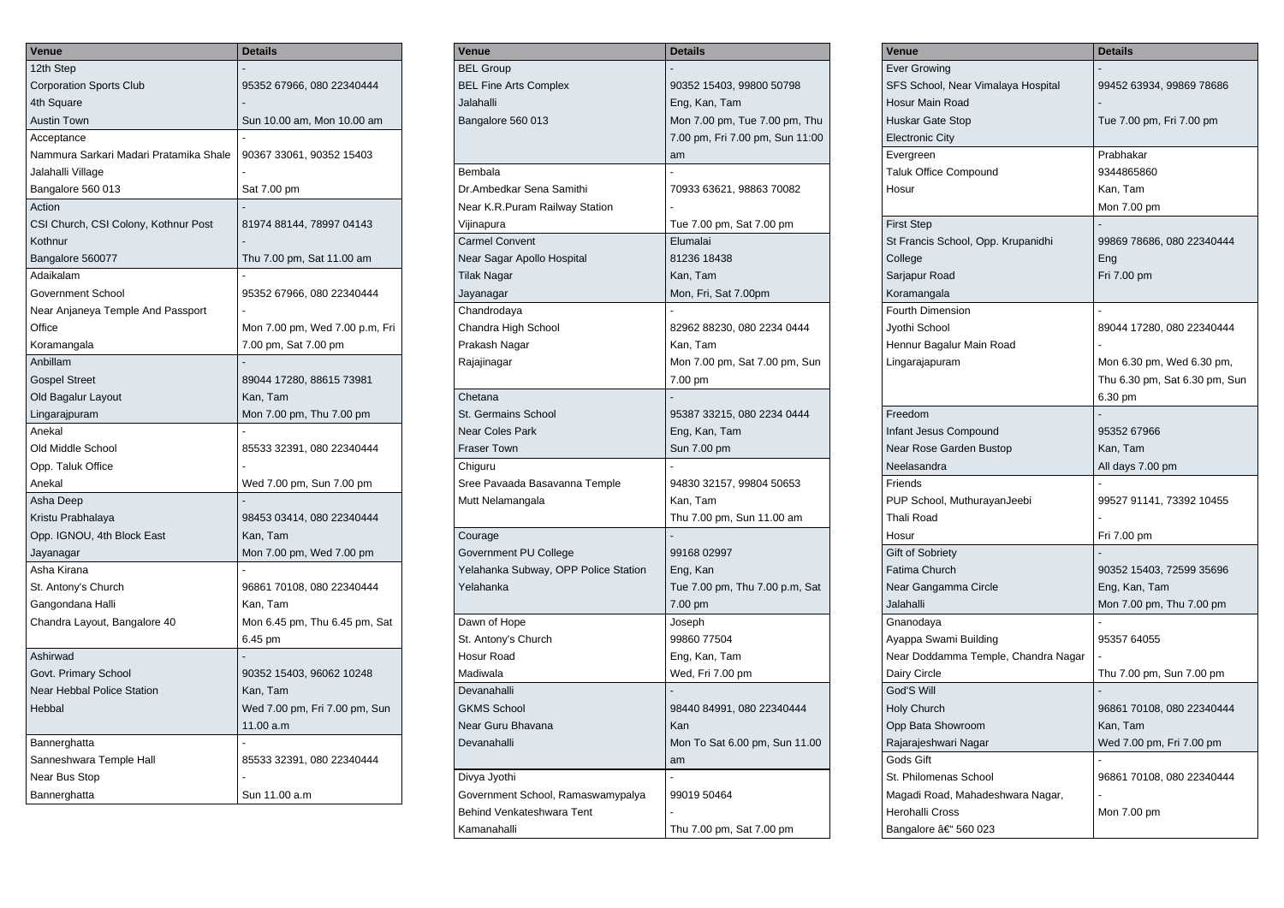| Venue                                  | <b>Details</b>                 |
|----------------------------------------|--------------------------------|
| 12th Step                              |                                |
| <b>Corporation Sports Club</b>         | 95352 67966, 080 22340444      |
| 4th Square                             |                                |
| Austin Town                            | Sun 10.00 am, Mon 10.00 am     |
| Acceptance                             |                                |
| Nammura Sarkari Madari Pratamika Shale | 90367 33061, 90352 15403       |
| Jalahalli Village                      |                                |
| Bangalore 560 013                      | Sat 7.00 pm                    |
| Action                                 |                                |
| CSI Church, CSI Colony, Kothnur Post   | 81974 88144, 78997 04143       |
| Kothnur                                |                                |
| Bangalore 560077                       | Thu 7.00 pm, Sat 11.00 am      |
| Adaikalam                              |                                |
| Government School                      | 95352 67966, 080 22340444      |
| Near Anjaneya Temple And Passport      |                                |
| Office                                 | Mon 7.00 pm, Wed 7.00 p.m, Fri |
| Koramangala                            | 7.00 pm, Sat 7.00 pm           |
| Anbillam                               |                                |
| <b>Gospel Street</b>                   | 89044 17280, 88615 73981       |
| Old Bagalur Layout                     | Kan, Tam                       |
| Lingarajpuram                          | Mon 7.00 pm, Thu 7.00 pm       |
| Anekal                                 |                                |
| Old Middle School                      | 85533 32391, 080 22340444      |
| Opp. Taluk Office                      |                                |
| Anekal                                 | Wed 7.00 pm, Sun 7.00 pm       |
| Asha Deep                              |                                |
| Kristu Prabhalaya                      | 98453 03414, 080 22340444      |
| Opp. IGNOU, 4th Block East             | Kan, Tam                       |
| Jayanagar                              | Mon 7.00 pm, Wed 7.00 pm       |
| Asha Kirana                            |                                |
| St. Antony's Church                    | 96861 70108, 080 22340444      |
| Gangondana Halli                       | Kan, Tam                       |
| Chandra Layout, Bangalore 40           | Mon 6.45 pm, Thu 6.45 pm, Sat  |
|                                        | 6.45 pm                        |
| Ashirwad                               |                                |
| Govt. Primary School                   | 90352 15403, 96062 10248       |
| Near Hebbal Police Station             | Kan, Tam                       |
| Hebbal                                 | Wed 7.00 pm, Fri 7.00 pm, Sun  |
|                                        | 11.00 a.m                      |
| Bannerghatta                           |                                |
| Sanneshwara Temple Hall                | 85533 32391, 080 22340444      |
| Near Bus Stop                          |                                |
| Bannerghatta                           | Sun 11.00 a.m                  |
|                                        |                                |

| Venue                                | <b>Details</b>                  |
|--------------------------------------|---------------------------------|
| <b>BEL Group</b>                     |                                 |
| <b>BEL Fine Arts Complex</b>         | 90352 15403, 99800 50798        |
| Jalahalli                            | Eng, Kan, Tam                   |
| Bangalore 560 013                    | Mon 7.00 pm, Tue 7.00 pm, Thu   |
|                                      | 7.00 pm, Fri 7.00 pm, Sun 11:00 |
|                                      | am                              |
| Bembala                              |                                 |
| Dr.Ambedkar Sena Samithi             | 70933 63621, 98863 70082        |
| Near K.R.Puram Railway Station       |                                 |
| Vijinapura                           | Tue 7.00 pm, Sat 7.00 pm        |
| <b>Carmel Convent</b>                | Elumalai                        |
| Near Sagar Apollo Hospital           | 81236 18438                     |
| <b>Tilak Nagar</b>                   | Kan, Tam                        |
| Jayanagar                            | Mon, Fri, Sat 7.00pm            |
| Chandrodaya                          |                                 |
| Chandra High School                  | 82962 88230, 080 2234 0444      |
| Prakash Nagar                        | Kan, Tam                        |
|                                      |                                 |
| Rajajinagar                          | Mon 7.00 pm, Sat 7.00 pm, Sun   |
|                                      | 7.00 pm                         |
| Chetana                              |                                 |
| St. Germains School                  | 95387 33215, 080 2234 0444      |
| <b>Near Coles Park</b>               | Eng, Kan, Tam                   |
| <b>Fraser Town</b>                   | Sun 7.00 pm                     |
| Chiguru                              |                                 |
| Sree Pavaada Basavanna Temple        | 94830 32157, 99804 50653        |
| Mutt Nelamangala                     | Kan, Tam                        |
|                                      | Thu 7.00 pm, Sun 11.00 am       |
| Courage                              |                                 |
| Government PU College                | 99168 02997                     |
| Yelahanka Subway, OPP Police Station | Eng, Kan                        |
| Yelahanka                            | Tue 7.00 pm, Thu 7.00 p.m, Sat  |
|                                      | 7.00 pm                         |
| Dawn of Hope                         | Joseph                          |
| St. Antony's Church                  | 99860 77504                     |
| Hosur Road                           | Eng, Kan, Tam                   |
| Madiwala                             | Wed, Fri 7.00 pm                |
| Devanahalli                          |                                 |
| <b>GKMS School</b>                   | 98440 84991, 080 22340444       |
| Near Guru Bhavana                    | Kan                             |
| Devanahalli                          | Mon To Sat 6.00 pm, Sun 11.00   |
|                                      | am                              |
| Divya Jyothi                         |                                 |
| Government School, Ramaswamypalya    | 99019 50464                     |
| Behind Venkateshwara Tent            |                                 |
| Kamanahalli                          | Thu 7.00 pm, Sat 7.00 pm        |

| Venue                               | <b>Details</b>                |
|-------------------------------------|-------------------------------|
| <b>Ever Growing</b>                 |                               |
| SFS School, Near Vimalaya Hospital  | 99452 63934, 99869 78686      |
| Hosur Main Road                     |                               |
| <b>Huskar Gate Stop</b>             | Tue 7.00 pm, Fri 7.00 pm      |
| <b>Electronic City</b>              |                               |
| Evergreen                           | Prabhakar                     |
| Taluk Office Compound               | 9344865860                    |
| Hosur                               | Kan, Tam                      |
|                                     | Mon 7.00 pm                   |
| <b>First Step</b>                   |                               |
| St Francis School, Opp. Krupanidhi  | 99869 78686, 080 22340444     |
| College                             | Eng                           |
| Sarjapur Road                       | Fri 7.00 pm                   |
| Koramangala                         |                               |
| Fourth Dimension                    |                               |
| Jyothi School                       | 89044 17280, 080 22340444     |
| Hennur Bagalur Main Road            |                               |
| Lingarajapuram                      | Mon 6.30 pm, Wed 6.30 pm,     |
|                                     | Thu 6.30 pm, Sat 6.30 pm, Sun |
|                                     | 6.30 pm                       |
| Freedom                             |                               |
| Infant Jesus Compound               | 95352 67966                   |
| Near Rose Garden Bustop             | Kan, Tam                      |
| Neelasandra                         | All days 7.00 pm              |
| Friends                             |                               |
| PUP School, MuthurayanJeebi         | 99527 91141, 73392 10455      |
| Thali Road                          |                               |
| Hosur                               | Fri 7.00 pm                   |
| Gift of Sobriety                    |                               |
| Fatima Church                       | 90352 15403, 72599 35696      |
| Near Gangamma Circle                | Eng, Kan, Tam                 |
| Jalahalli                           | Mon 7.00 pm, Thu 7.00 pm      |
| Gnanodaya                           |                               |
| Ayappa Swami Building               | 95357 64055                   |
| Near Doddamma Temple, Chandra Nagar |                               |
| Dairy Circle                        | Thu 7.00 pm, Sun 7.00 pm      |
| God'S Will                          |                               |
| <b>Holy Church</b>                  | 96861 70108, 080 22340444     |
| Opp Bata Showroom                   | Kan, Tam                      |
| Rajarajeshwari Nagar                | Wed 7.00 pm, Fri 7.00 pm      |
| Gods Gift                           |                               |
| St. Philomenas School               | 96861 70108, 080 22340444     |
| Magadi Road, Mahadeshwara Nagar,    |                               |
| Herohalli Cross                     | Mon 7.00 pm                   |
| Bangalore – 560 023                 |                               |
|                                     |                               |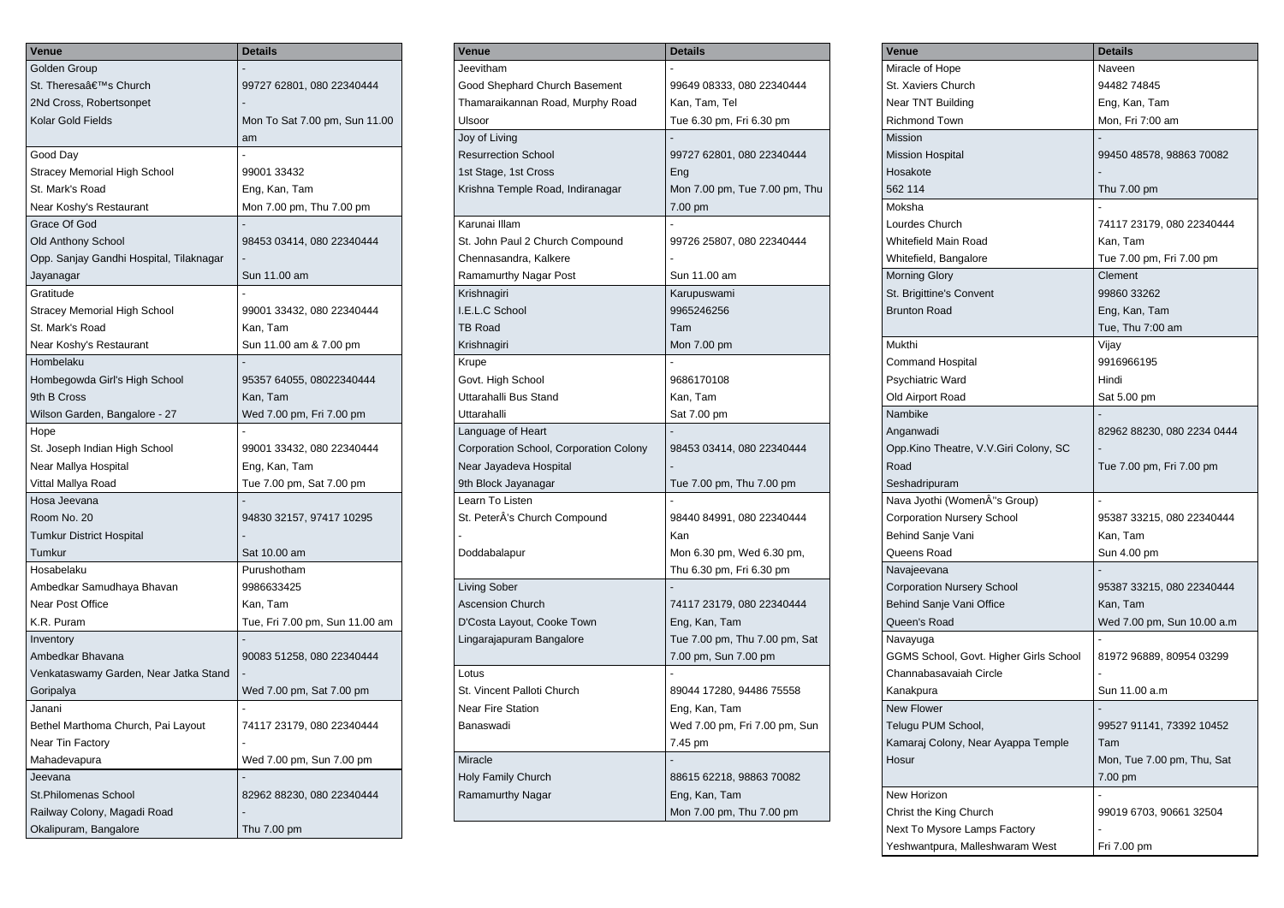| Venue                                   | <b>Details</b>                 |
|-----------------------------------------|--------------------------------|
| Golden Group                            |                                |
| St. Theresa's Church                    | 99727 62801, 080 22340444      |
| 2Nd Cross, Robertsonpet                 |                                |
| Kolar Gold Fields                       | Mon To Sat 7.00 pm, Sun 11.00  |
|                                         | am                             |
| Good Day                                |                                |
| Stracey Memorial High School            | 99001 33432                    |
| St. Mark's Road                         | Eng, Kan, Tam                  |
| Near Koshy's Restaurant                 | Mon 7.00 pm, Thu 7.00 pm       |
| Grace Of God                            |                                |
| <b>Old Anthony School</b>               | 98453 03414, 080 22340444      |
| Opp. Sanjay Gandhi Hospital, Tilaknagar |                                |
| Jayanagar                               | Sun 11.00 am                   |
| Gratitude                               |                                |
| Stracey Memorial High School            | 99001 33432, 080 22340444      |
| St. Mark's Road                         | Kan, Tam                       |
| Near Koshy's Restaurant                 | Sun 11.00 am & 7.00 pm         |
| Hombelaku                               |                                |
| Hombegowda Girl's High School           | 95357 64055, 08022340444       |
| 9th B Cross                             | Kan, Tam                       |
| Wilson Garden, Bangalore - 27           | Wed 7.00 pm, Fri 7.00 pm       |
| Hope                                    |                                |
| St. Joseph Indian High School           | 99001 33432, 080 22340444      |
| Near Mallya Hospital                    | Eng, Kan, Tam                  |
| Vittal Mallya Road                      | Tue 7.00 pm, Sat 7.00 pm       |
| Hosa Jeevana                            |                                |
| Room No. 20                             | 94830 32157, 97417 10295       |
| <b>Tumkur District Hospital</b>         |                                |
| Tumkur                                  | Sat 10.00 am                   |
| Hosabelaku                              | Purushotham                    |
| Ambedkar Samudhaya Bhavan               | 9986633425                     |
| Near Post Office                        | Kan, Tam                       |
| K.R. Puram                              | Tue, Fri 7.00 pm, Sun 11.00 am |
| Inventory                               |                                |
| Ambedkar Bhavana                        | 90083 51258, 080 22340444      |
| Venkataswamy Garden, Near Jatka Stand   |                                |
| Goripalya                               | Wed 7.00 pm, Sat 7.00 pm       |
| Janani                                  |                                |
| Bethel Marthoma Church, Pai Layout      | 74117 23179, 080 22340444      |
| Near Tin Factory                        |                                |
| Mahadevapura                            | Wed 7.00 pm, Sun 7.00 pm       |
| Jeevana                                 |                                |
| St.Philomenas School                    | 82962 88230, 080 22340444      |
| Railway Colony, Magadi Road             |                                |
| Okalipuram, Bangalore                   | Thu 7.00 pm                    |
|                                         |                                |

| Venue                                  | <b>Details</b>                |
|----------------------------------------|-------------------------------|
| Jeevitham                              |                               |
| Good Shephard Church Basement          | 99649 08333, 080 22340444     |
| Thamaraikannan Road, Murphy Road       | Kan, Tam, Tel                 |
| Ulsoor                                 | Tue 6.30 pm, Fri 6.30 pm      |
| Joy of Living                          |                               |
| <b>Resurrection School</b>             | 99727 62801, 080 22340444     |
| 1st Stage, 1st Cross                   | Eng                           |
| Krishna Temple Road, Indiranagar       | Mon 7.00 pm, Tue 7.00 pm, Thu |
|                                        | 7.00 pm                       |
| Karunai Illam                          |                               |
| St. John Paul 2 Church Compound        | 99726 25807, 080 22340444     |
| Chennasandra, Kalkere                  |                               |
| Ramamurthy Nagar Post                  | Sun 11.00 am                  |
| Krishnagiri                            | Karupuswami                   |
| I.E.L.C School                         | 9965246256                    |
| <b>TB Road</b>                         | Tam                           |
| Krishnagiri                            | Mon 7.00 pm                   |
| Krupe                                  |                               |
| Govt. High School                      | 9686170108                    |
| Uttarahalli Bus Stand                  | Kan, Tam                      |
| Uttarahalli                            | Sat 7.00 pm                   |
| Language of Heart                      |                               |
| Corporation School, Corporation Colony | 98453 03414, 080 22340444     |
| Near Jayadeva Hospital                 |                               |
| 9th Block Jayanagar                    | Tue 7.00 pm, Thu 7.00 pm      |
| Learn To Listen                        |                               |
| St. PeterÄ's Church Compound           | 98440 84991, 080 22340444     |
|                                        | Kan                           |
| Doddabalapur                           | Mon 6.30 pm, Wed 6.30 pm,     |
|                                        | Thu 6.30 pm, Fri 6.30 pm      |
| Living Sober                           |                               |
| <b>Ascension Church</b>                | 74117 23179, 080 22340444     |
| D'Costa Layout, Cooke Town             | Eng, Kan, Tam                 |
| Lingarajapuram Bangalore               | Tue 7.00 pm, Thu 7.00 pm, Sat |
|                                        | 7.00 pm, Sun 7.00 pm          |
| Lotus                                  |                               |
| St. Vincent Palloti Church             | 89044 17280, 94486 75558      |
| <b>Near Fire Station</b>               | Eng, Kan, Tam                 |
| Banaswadi                              | Wed 7.00 pm, Fri 7.00 pm, Sun |
|                                        | 7.45 pm                       |
| Miracle                                |                               |
| Holy Family Church                     | 88615 62218, 98863 70082      |
| Ramamurthy Nagar                       | Eng, Kan, Tam                 |
|                                        | Mon 7.00 pm, Thu 7.00 pm      |

| Venue                                         | <b>Details</b>             |
|-----------------------------------------------|----------------------------|
| Miracle of Hope                               | Naveen                     |
| St. Xaviers Church                            | 9448274845                 |
| Near TNT Building                             | Eng, Kan, Tam              |
| <b>Richmond Town</b>                          | Mon, Fri 7:00 am           |
| <b>Mission</b>                                |                            |
| <b>Mission Hospital</b>                       | 99450 48578, 98863 70082   |
| Hosakote                                      |                            |
| 562 114                                       | Thu 7.00 pm                |
| Moksha                                        |                            |
| Lourdes Church                                | 74117 23179, 080 22340444  |
| Whitefield Main Road                          | Kan, Tam                   |
| Whitefield, Bangalore                         | Tue 7.00 pm, Fri 7.00 pm   |
| <b>Morning Glory</b>                          | Clement                    |
| St. Brigittine's Convent                      | 99860 33262                |
| <b>Brunton Road</b>                           | Eng, Kan, Tam              |
|                                               | Tue, Thu 7:00 am           |
| Mukthi                                        | Vijay                      |
| Command Hospital                              | 9916966195                 |
| <b>Psychiatric Ward</b>                       | Hindi                      |
| Old Airport Road                              | Sat 5.00 pm                |
| Nambike                                       |                            |
|                                               |                            |
| Anganwadi                                     | 82962 88230, 080 2234 0444 |
| Opp.Kino Theatre, V.V.Giri Colony, SC<br>Road |                            |
|                                               | Tue 7.00 pm, Fri 7.00 pm   |
| Seshadripuram                                 | $\overline{a}$             |
| Nava Jyothi (WomenÂ"s Group)                  |                            |
| <b>Corporation Nursery School</b>             | 95387 33215, 080 22340444  |
| Behind Sanje Vani                             | Kan, Tam                   |
| Queens Road                                   | Sun 4.00 pm                |
| Navajeevana                                   |                            |
| <b>Corporation Nursery School</b>             | 95387 33215, 080 22340444  |
| Behind Sanje Vani Office                      | Kan, Tam                   |
| Queen's Road                                  | Wed 7.00 pm, Sun 10.00 a.m |
| Navayuga                                      |                            |
| GGMS School, Govt. Higher Girls School        | 81972 96889, 80954 03299   |
| Channabasavaiah Circle                        |                            |
| Kanakpura                                     | Sun 11.00 a.m              |
| <b>New Flower</b>                             |                            |
| Telugu PUM School,                            | 99527 91141, 73392 10452   |
| Kamaraj Colony, Near Ayappa Temple            | Tam                        |
| Hosur                                         | Mon, Tue 7.00 pm, Thu, Sat |
|                                               | 7.00 pm                    |
| New Horizon                                   |                            |
| Christ the King Church                        | 99019 6703, 90661 32504    |
| Next To Mysore Lamps Factory                  |                            |
| Yeshwantpura, Malleshwaram West               | Fri 7.00 pm                |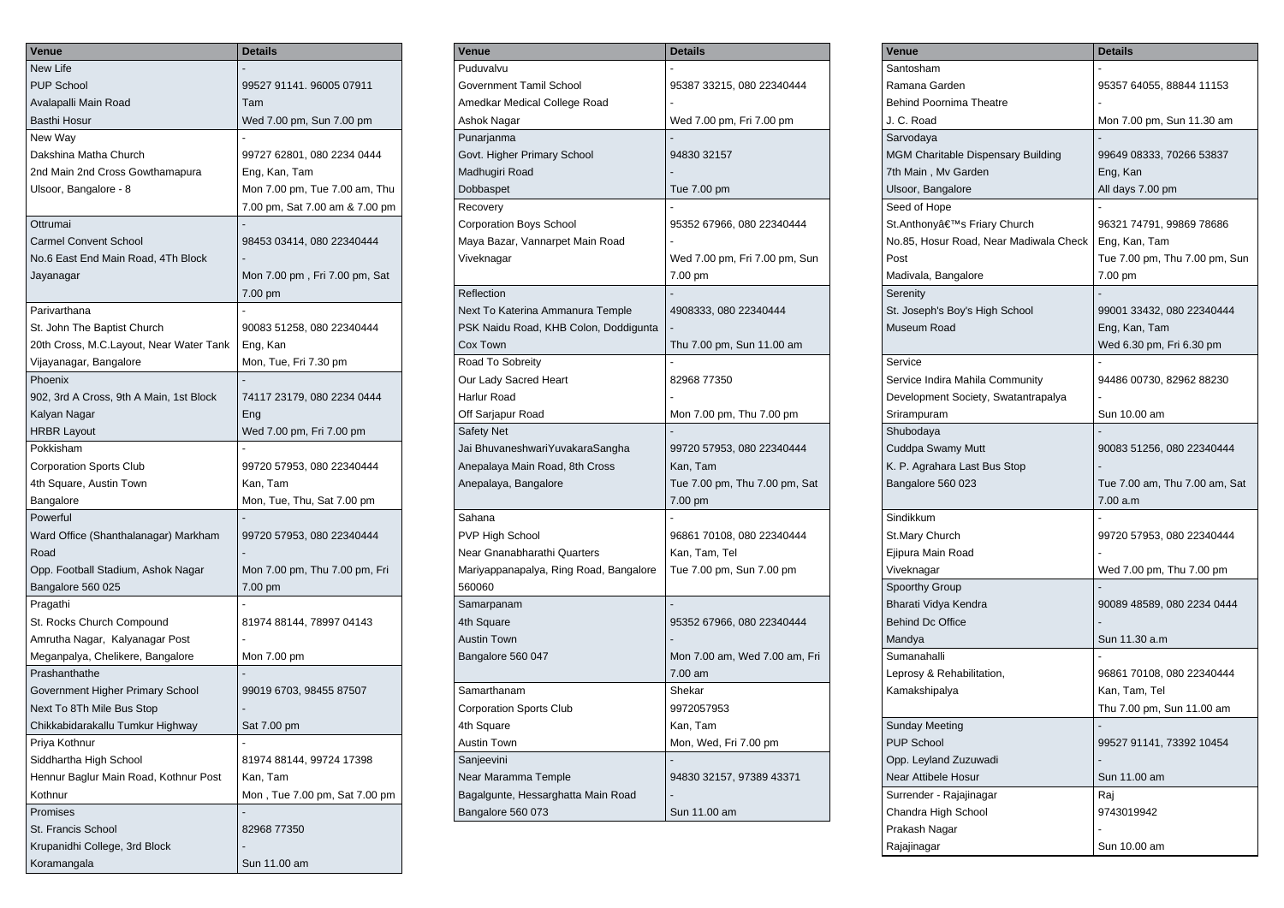| Venue                                   | <b>Details</b>                 |
|-----------------------------------------|--------------------------------|
| New Life                                |                                |
| <b>PUP School</b>                       | 99527 91141. 96005 07911       |
| Avalapalli Main Road                    | Tam                            |
| Basthi Hosur                            | Wed 7.00 pm, Sun 7.00 pm       |
| New Way                                 |                                |
| Dakshina Matha Church                   | 99727 62801, 080 2234 0444     |
| 2nd Main 2nd Cross Gowthamapura         | Eng, Kan, Tam                  |
| Ulsoor, Bangalore - 8                   | Mon 7.00 pm, Tue 7.00 am, Thu  |
|                                         | 7.00 pm, Sat 7.00 am & 7.00 pm |
| Ottrumai                                |                                |
| <b>Carmel Convent School</b>            | 98453 03414, 080 22340444      |
| No.6 East End Main Road, 4Th Block      |                                |
| Jayanagar                               | Mon 7.00 pm, Fri 7.00 pm, Sat  |
|                                         | 7.00 pm                        |
| Parivarthana                            |                                |
| St. John The Baptist Church             | 90083 51258, 080 22340444      |
| 20th Cross, M.C.Layout, Near Water Tank | Eng, Kan                       |
| Vijayanagar, Bangalore                  | Mon, Tue, Fri 7.30 pm          |
| Phoenix                                 |                                |
| 902, 3rd A Cross, 9th A Main, 1st Block | 74117 23179, 080 2234 0444     |
| Kalyan Nagar                            | Eng                            |
| <b>HRBR Layout</b>                      | Wed 7.00 pm, Fri 7.00 pm       |
| Pokkisham                               |                                |
| <b>Corporation Sports Club</b>          | 99720 57953, 080 22340444      |
| 4th Square, Austin Town                 | Kan, Tam                       |
| Bangalore                               | Mon, Tue, Thu, Sat 7.00 pm     |
| Powerful                                |                                |
| Ward Office (Shanthalanagar) Markham    | 99720 57953, 080 22340444      |
| Road                                    |                                |
| Opp. Football Stadium, Ashok Nagar      | Mon 7.00 pm, Thu 7.00 pm, Fri  |
| Bangalore 560 025                       | 7.00 pm                        |
| Pragathi                                |                                |
| St. Rocks Church Compound               | 81974 88144, 78997 04143       |
| Amrutha Nagar, Kalyanagar Post          |                                |
| Meganpalya, Chelikere, Bangalore        | Mon 7.00 pm                    |
| Prashanthathe                           |                                |
| Government Higher Primary School        | 99019 6703, 98455 87507        |
| Next To 8Th Mile Bus Stop               |                                |
| Chikkabidarakallu Tumkur Highway        | Sat 7.00 pm                    |
| Priya Kothnur                           |                                |
| Siddhartha High School                  | 81974 88144, 99724 17398       |
| Hennur Baglur Main Road, Kothnur Post   | Kan, Tam                       |
| Kothnur                                 | Mon, Tue 7.00 pm, Sat 7.00 pm  |
| Promises                                |                                |
| St. Francis School                      | 82968 77350                    |
| Krupanidhi College, 3rd Block           |                                |
| Koramangala                             | Sun 11.00 am                   |
|                                         |                                |

| Venue                                  | <b>Details</b>                |
|----------------------------------------|-------------------------------|
| Puduvalvu                              |                               |
| Government Tamil School                | 95387 33215, 080 22340444     |
| Amedkar Medical College Road           |                               |
| Ashok Nagar                            | Wed 7.00 pm, Fri 7.00 pm      |
| Punarjanma                             |                               |
| Govt. Higher Primary School            | 94830 32157                   |
| Madhugiri Road                         |                               |
| Dobbaspet                              | Tue 7.00 pm                   |
| Recovery                               |                               |
| <b>Corporation Boys School</b>         | 95352 67966, 080 22340444     |
| Maya Bazar, Vannarpet Main Road        |                               |
| Viveknagar                             | Wed 7.00 pm, Fri 7.00 pm, Sun |
|                                        | 7.00 pm                       |
| Reflection                             |                               |
| Next To Katerina Ammanura Temple       | 4908333, 080 22340444         |
| PSK Naidu Road, KHB Colon, Doddigunta  |                               |
| Cox Town                               | Thu 7.00 pm, Sun 11.00 am     |
| Road To Sobreity                       |                               |
| Our Lady Sacred Heart                  | 82968 77350                   |
| <b>Harlur Road</b>                     |                               |
| Off Sarjapur Road                      | Mon 7.00 pm, Thu 7.00 pm      |
| <b>Safety Net</b>                      |                               |
| Jai BhuvaneshwariYuvakaraSangha        | 99720 57953, 080 22340444     |
| Anepalaya Main Road, 8th Cross         | Kan, Tam                      |
| Anepalaya, Bangalore                   | Tue 7.00 pm, Thu 7.00 pm, Sat |
|                                        | 7.00 pm                       |
| Sahana                                 |                               |
| PVP High School                        | 96861 70108, 080 22340444     |
| Near Gnanabharathi Quarters            | Kan, Tam, Tel                 |
| Mariyappanapalya, Ring Road, Bangalore | Tue 7.00 pm, Sun 7.00 pm      |
| 560060                                 |                               |
| Samarpanam                             |                               |
| 4th Square                             | 95352 67966, 080 22340444     |
| <b>Austin Town</b>                     |                               |
| Bangalore 560 047                      | Mon 7.00 am, Wed 7.00 am, Fri |
|                                        | 7.00 am                       |
| Samarthanam                            | Shekar                        |
| <b>Corporation Sports Club</b>         | 9972057953                    |
| 4th Square                             | Kan, Tam                      |
| <b>Austin Town</b>                     | Mon, Wed, Fri 7.00 pm         |
| Sanjeevini                             |                               |
| Near Maramma Temple                    | 94830 32157, 97389 43371      |
| Bagalgunte, Hessarghatta Main Road     |                               |
| Bangalore 560 073                      | Sun 11.00 am                  |

| Venue                                     | <b>Details</b>                |
|-------------------------------------------|-------------------------------|
| Santosham                                 |                               |
| Ramana Garden                             | 95357 64055, 88844 11153      |
| <b>Behind Poornima Theatre</b>            |                               |
| J. C. Road                                | Mon 7.00 pm, Sun 11.30 am     |
| Sarvodaya                                 |                               |
| <b>MGM Charitable Dispensary Building</b> | 99649 08333, 70266 53837      |
| 7th Main, Mv Garden                       | Eng, Kan                      |
| Ulsoor, Bangalore                         | All days 7.00 pm              |
| Seed of Hope                              |                               |
| St.Anthony's Friary Church                | 96321 74791, 99869 78686      |
| No.85, Hosur Road, Near Madiwala Check    | Eng, Kan, Tam                 |
| Post                                      | Tue 7.00 pm, Thu 7.00 pm, Sun |
| Madivala, Bangalore                       | 7.00 pm                       |
| Serenity                                  |                               |
| St. Joseph's Boy's High School            | 99001 33432, 080 22340444     |
| Museum Road                               | Eng, Kan, Tam                 |
|                                           | Wed 6.30 pm, Fri 6.30 pm      |
| Service                                   |                               |
| Service Indira Mahila Community           | 94486 00730, 82962 88230      |
| Development Society, Swatantrapalya       |                               |
| Srirampuram                               | Sun 10.00 am                  |
| Shubodaya                                 |                               |
| Cuddpa Swamy Mutt                         | 90083 51256, 080 22340444     |
| K. P. Agrahara Last Bus Stop              |                               |
| Bangalore 560 023                         | Tue 7.00 am, Thu 7.00 am, Sat |
|                                           | 7.00 a.m                      |
| Sindikkum                                 |                               |
| St.Mary Church                            | 99720 57953, 080 22340444     |
| Ejipura Main Road                         |                               |
| Viveknagar                                | Wed 7.00 pm, Thu 7.00 pm      |
| Spoorthy Group                            |                               |
| Bharati Vidya Kendra                      | 90089 48589, 080 2234 0444    |
| <b>Behind Dc Office</b>                   |                               |
| Mandya                                    | Sun 11.30 a.m                 |
| Sumanahalli                               |                               |
| Leprosy & Rehabilitation,                 | 96861 70108, 080 22340444     |
| Kamakshipalya                             | Kan, Tam, Tel                 |
|                                           | Thu 7.00 pm, Sun 11.00 am     |
| Sunday Meeting                            |                               |
| <b>PUP School</b>                         | 99527 91141, 73392 10454      |
| Opp. Leyland Zuzuwadi                     |                               |
| <b>Near Attibele Hosur</b>                | Sun 11.00 am                  |
| Surrender - Rajajinagar                   | Raj                           |
| Chandra High School                       | 9743019942                    |
| Prakash Nagar                             |                               |
| Rajajinagar                               | Sun 10.00 am                  |